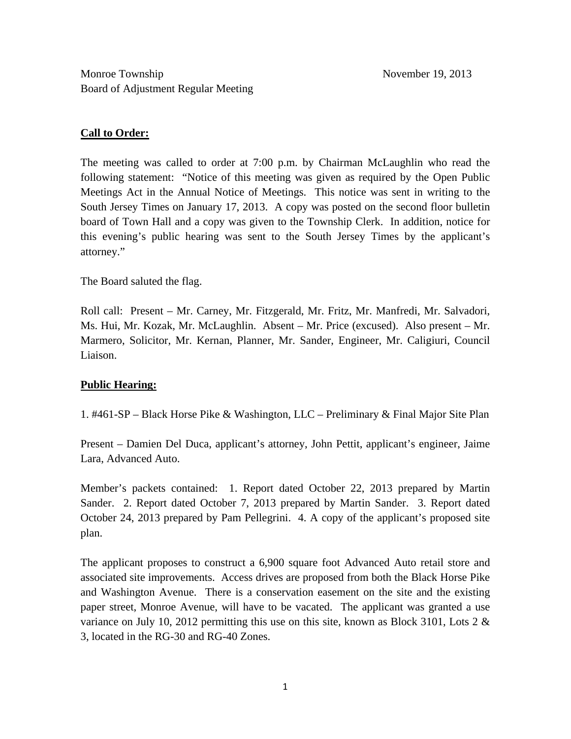### **Call to Order:**

The meeting was called to order at 7:00 p.m. by Chairman McLaughlin who read the following statement: "Notice of this meeting was given as required by the Open Public Meetings Act in the Annual Notice of Meetings. This notice was sent in writing to the South Jersey Times on January 17, 2013. A copy was posted on the second floor bulletin board of Town Hall and a copy was given to the Township Clerk. In addition, notice for this evening's public hearing was sent to the South Jersey Times by the applicant's attorney."

The Board saluted the flag.

Roll call: Present – Mr. Carney, Mr. Fitzgerald, Mr. Fritz, Mr. Manfredi, Mr. Salvadori, Ms. Hui, Mr. Kozak, Mr. McLaughlin. Absent – Mr. Price (excused). Also present – Mr. Marmero, Solicitor, Mr. Kernan, Planner, Mr. Sander, Engineer, Mr. Caligiuri, Council Liaison.

## **Public Hearing:**

1. #461-SP – Black Horse Pike & Washington, LLC – Preliminary & Final Major Site Plan

Present – Damien Del Duca, applicant's attorney, John Pettit, applicant's engineer, Jaime Lara, Advanced Auto.

Member's packets contained: 1. Report dated October 22, 2013 prepared by Martin Sander. 2. Report dated October 7, 2013 prepared by Martin Sander. 3. Report dated October 24, 2013 prepared by Pam Pellegrini. 4. A copy of the applicant's proposed site plan.

The applicant proposes to construct a 6,900 square foot Advanced Auto retail store and associated site improvements. Access drives are proposed from both the Black Horse Pike and Washington Avenue. There is a conservation easement on the site and the existing paper street, Monroe Avenue, will have to be vacated. The applicant was granted a use variance on July 10, 2012 permitting this use on this site, known as Block 3101, Lots 2  $\&$ 3, located in the RG-30 and RG-40 Zones.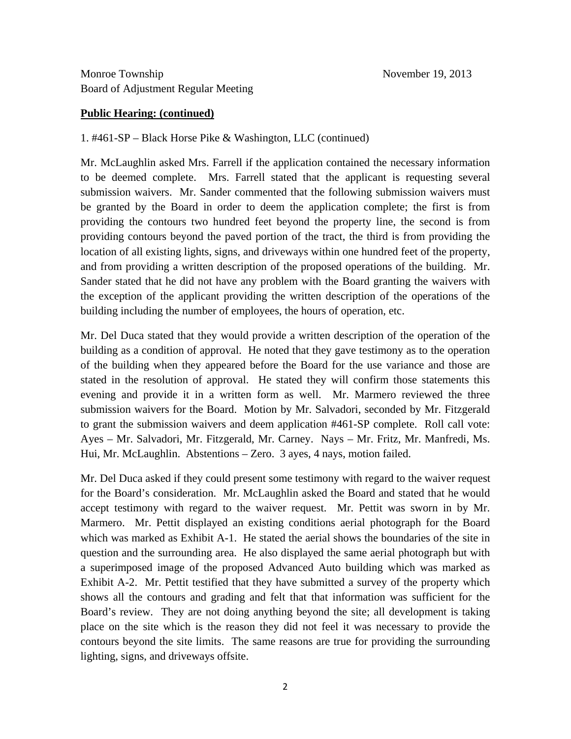#### **Public Hearing: (continued)**

1. #461-SP – Black Horse Pike & Washington, LLC (continued)

Mr. McLaughlin asked Mrs. Farrell if the application contained the necessary information to be deemed complete. Mrs. Farrell stated that the applicant is requesting several submission waivers. Mr. Sander commented that the following submission waivers must be granted by the Board in order to deem the application complete; the first is from providing the contours two hundred feet beyond the property line, the second is from providing contours beyond the paved portion of the tract, the third is from providing the location of all existing lights, signs, and driveways within one hundred feet of the property, and from providing a written description of the proposed operations of the building. Mr. Sander stated that he did not have any problem with the Board granting the waivers with the exception of the applicant providing the written description of the operations of the building including the number of employees, the hours of operation, etc.

Mr. Del Duca stated that they would provide a written description of the operation of the building as a condition of approval. He noted that they gave testimony as to the operation of the building when they appeared before the Board for the use variance and those are stated in the resolution of approval. He stated they will confirm those statements this evening and provide it in a written form as well. Mr. Marmero reviewed the three submission waivers for the Board. Motion by Mr. Salvadori, seconded by Mr. Fitzgerald to grant the submission waivers and deem application #461-SP complete. Roll call vote: Ayes – Mr. Salvadori, Mr. Fitzgerald, Mr. Carney. Nays – Mr. Fritz, Mr. Manfredi, Ms. Hui, Mr. McLaughlin. Abstentions – Zero. 3 ayes, 4 nays, motion failed.

Mr. Del Duca asked if they could present some testimony with regard to the waiver request for the Board's consideration. Mr. McLaughlin asked the Board and stated that he would accept testimony with regard to the waiver request. Mr. Pettit was sworn in by Mr. Marmero. Mr. Pettit displayed an existing conditions aerial photograph for the Board which was marked as Exhibit A-1. He stated the aerial shows the boundaries of the site in question and the surrounding area. He also displayed the same aerial photograph but with a superimposed image of the proposed Advanced Auto building which was marked as Exhibit A-2. Mr. Pettit testified that they have submitted a survey of the property which shows all the contours and grading and felt that that information was sufficient for the Board's review. They are not doing anything beyond the site; all development is taking place on the site which is the reason they did not feel it was necessary to provide the contours beyond the site limits. The same reasons are true for providing the surrounding lighting, signs, and driveways offsite.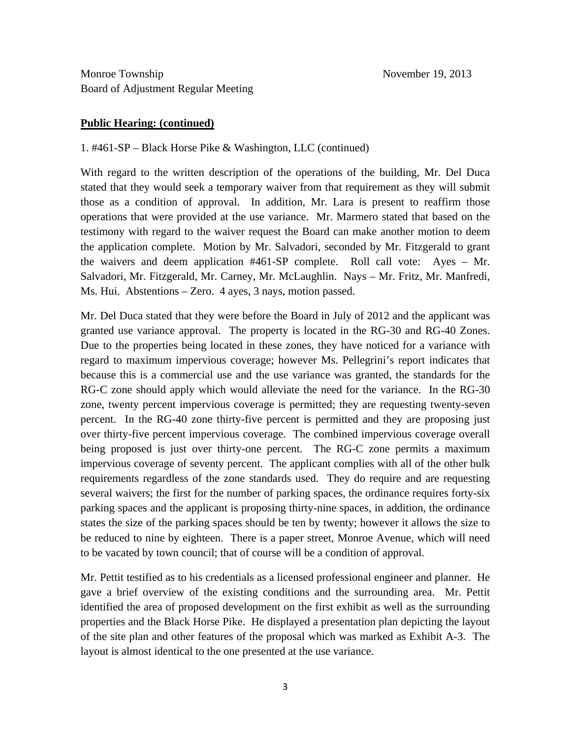#### **Public Hearing: (continued)**

#### 1. #461-SP – Black Horse Pike & Washington, LLC (continued)

With regard to the written description of the operations of the building, Mr. Del Duca stated that they would seek a temporary waiver from that requirement as they will submit those as a condition of approval. In addition, Mr. Lara is present to reaffirm those operations that were provided at the use variance. Mr. Marmero stated that based on the testimony with regard to the waiver request the Board can make another motion to deem the application complete. Motion by Mr. Salvadori, seconded by Mr. Fitzgerald to grant the waivers and deem application #461-SP complete. Roll call vote: Ayes – Mr. Salvadori, Mr. Fitzgerald, Mr. Carney, Mr. McLaughlin. Nays – Mr. Fritz, Mr. Manfredi, Ms. Hui. Abstentions – Zero. 4 ayes, 3 nays, motion passed.

Mr. Del Duca stated that they were before the Board in July of 2012 and the applicant was granted use variance approval. The property is located in the RG-30 and RG-40 Zones. Due to the properties being located in these zones, they have noticed for a variance with regard to maximum impervious coverage; however Ms. Pellegrini's report indicates that because this is a commercial use and the use variance was granted, the standards for the RG-C zone should apply which would alleviate the need for the variance. In the RG-30 zone, twenty percent impervious coverage is permitted; they are requesting twenty-seven percent. In the RG-40 zone thirty-five percent is permitted and they are proposing just over thirty-five percent impervious coverage. The combined impervious coverage overall being proposed is just over thirty-one percent. The RG-C zone permits a maximum impervious coverage of seventy percent. The applicant complies with all of the other bulk requirements regardless of the zone standards used. They do require and are requesting several waivers; the first for the number of parking spaces, the ordinance requires forty-six parking spaces and the applicant is proposing thirty-nine spaces, in addition, the ordinance states the size of the parking spaces should be ten by twenty; however it allows the size to be reduced to nine by eighteen. There is a paper street, Monroe Avenue, which will need to be vacated by town council; that of course will be a condition of approval.

Mr. Pettit testified as to his credentials as a licensed professional engineer and planner. He gave a brief overview of the existing conditions and the surrounding area. Mr. Pettit identified the area of proposed development on the first exhibit as well as the surrounding properties and the Black Horse Pike. He displayed a presentation plan depicting the layout of the site plan and other features of the proposal which was marked as Exhibit A-3. The layout is almost identical to the one presented at the use variance.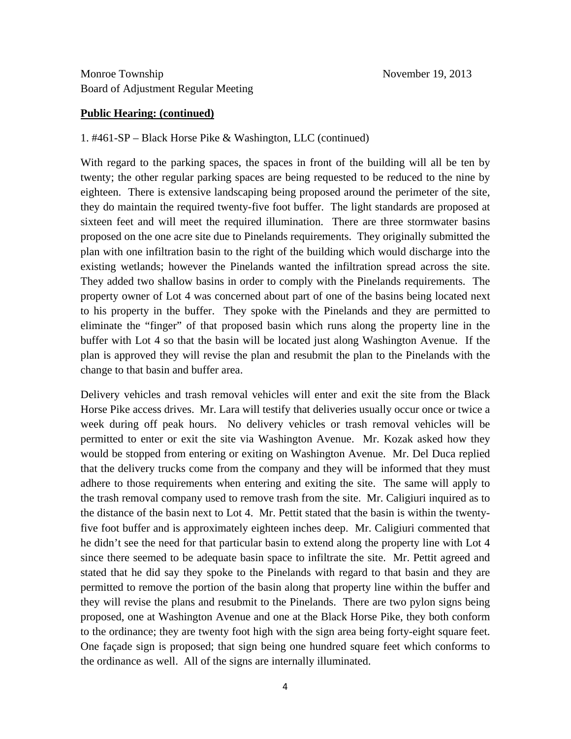#### **Public Hearing: (continued)**

### 1. #461-SP – Black Horse Pike & Washington, LLC (continued)

With regard to the parking spaces, the spaces in front of the building will all be ten by twenty; the other regular parking spaces are being requested to be reduced to the nine by eighteen. There is extensive landscaping being proposed around the perimeter of the site, they do maintain the required twenty-five foot buffer. The light standards are proposed at sixteen feet and will meet the required illumination. There are three stormwater basins proposed on the one acre site due to Pinelands requirements. They originally submitted the plan with one infiltration basin to the right of the building which would discharge into the existing wetlands; however the Pinelands wanted the infiltration spread across the site. They added two shallow basins in order to comply with the Pinelands requirements. The property owner of Lot 4 was concerned about part of one of the basins being located next to his property in the buffer. They spoke with the Pinelands and they are permitted to eliminate the "finger" of that proposed basin which runs along the property line in the buffer with Lot 4 so that the basin will be located just along Washington Avenue. If the plan is approved they will revise the plan and resubmit the plan to the Pinelands with the change to that basin and buffer area.

Delivery vehicles and trash removal vehicles will enter and exit the site from the Black Horse Pike access drives. Mr. Lara will testify that deliveries usually occur once or twice a week during off peak hours. No delivery vehicles or trash removal vehicles will be permitted to enter or exit the site via Washington Avenue. Mr. Kozak asked how they would be stopped from entering or exiting on Washington Avenue. Mr. Del Duca replied that the delivery trucks come from the company and they will be informed that they must adhere to those requirements when entering and exiting the site. The same will apply to the trash removal company used to remove trash from the site. Mr. Caligiuri inquired as to the distance of the basin next to Lot 4. Mr. Pettit stated that the basin is within the twentyfive foot buffer and is approximately eighteen inches deep. Mr. Caligiuri commented that he didn't see the need for that particular basin to extend along the property line with Lot 4 since there seemed to be adequate basin space to infiltrate the site. Mr. Pettit agreed and stated that he did say they spoke to the Pinelands with regard to that basin and they are permitted to remove the portion of the basin along that property line within the buffer and they will revise the plans and resubmit to the Pinelands. There are two pylon signs being proposed, one at Washington Avenue and one at the Black Horse Pike, they both conform to the ordinance; they are twenty foot high with the sign area being forty-eight square feet. One façade sign is proposed; that sign being one hundred square feet which conforms to the ordinance as well. All of the signs are internally illuminated.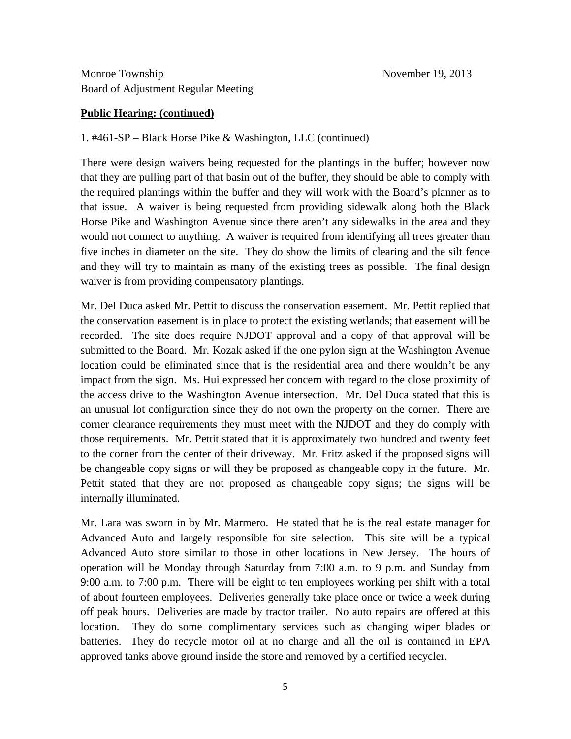### **Public Hearing: (continued)**

### 1. #461-SP – Black Horse Pike & Washington, LLC (continued)

There were design waivers being requested for the plantings in the buffer; however now that they are pulling part of that basin out of the buffer, they should be able to comply with the required plantings within the buffer and they will work with the Board's planner as to that issue. A waiver is being requested from providing sidewalk along both the Black Horse Pike and Washington Avenue since there aren't any sidewalks in the area and they would not connect to anything. A waiver is required from identifying all trees greater than five inches in diameter on the site. They do show the limits of clearing and the silt fence and they will try to maintain as many of the existing trees as possible. The final design waiver is from providing compensatory plantings.

Mr. Del Duca asked Mr. Pettit to discuss the conservation easement. Mr. Pettit replied that the conservation easement is in place to protect the existing wetlands; that easement will be recorded. The site does require NJDOT approval and a copy of that approval will be submitted to the Board. Mr. Kozak asked if the one pylon sign at the Washington Avenue location could be eliminated since that is the residential area and there wouldn't be any impact from the sign. Ms. Hui expressed her concern with regard to the close proximity of the access drive to the Washington Avenue intersection. Mr. Del Duca stated that this is an unusual lot configuration since they do not own the property on the corner. There are corner clearance requirements they must meet with the NJDOT and they do comply with those requirements. Mr. Pettit stated that it is approximately two hundred and twenty feet to the corner from the center of their driveway. Mr. Fritz asked if the proposed signs will be changeable copy signs or will they be proposed as changeable copy in the future. Mr. Pettit stated that they are not proposed as changeable copy signs; the signs will be internally illuminated.

Mr. Lara was sworn in by Mr. Marmero. He stated that he is the real estate manager for Advanced Auto and largely responsible for site selection. This site will be a typical Advanced Auto store similar to those in other locations in New Jersey. The hours of operation will be Monday through Saturday from 7:00 a.m. to 9 p.m. and Sunday from 9:00 a.m. to 7:00 p.m. There will be eight to ten employees working per shift with a total of about fourteen employees. Deliveries generally take place once or twice a week during off peak hours. Deliveries are made by tractor trailer. No auto repairs are offered at this location. They do some complimentary services such as changing wiper blades or batteries. They do recycle motor oil at no charge and all the oil is contained in EPA approved tanks above ground inside the store and removed by a certified recycler.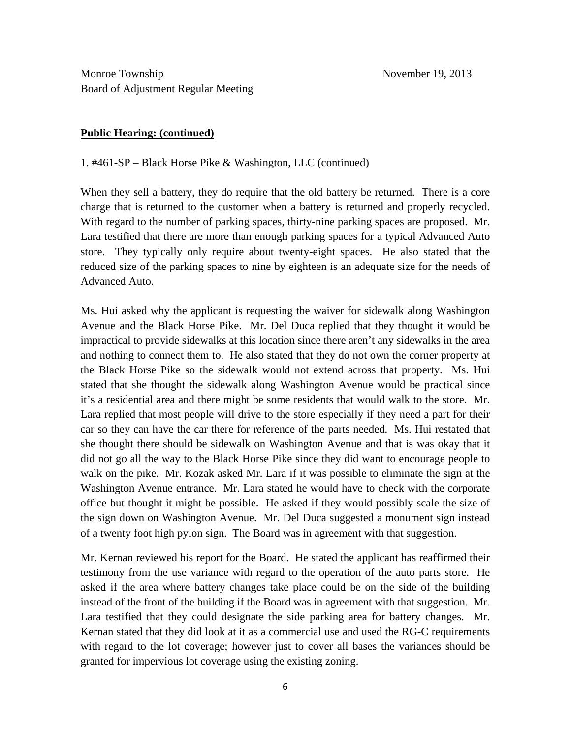### **Public Hearing: (continued)**

1. #461-SP – Black Horse Pike & Washington, LLC (continued)

When they sell a battery, they do require that the old battery be returned. There is a core charge that is returned to the customer when a battery is returned and properly recycled. With regard to the number of parking spaces, thirty-nine parking spaces are proposed. Mr. Lara testified that there are more than enough parking spaces for a typical Advanced Auto store. They typically only require about twenty-eight spaces. He also stated that the reduced size of the parking spaces to nine by eighteen is an adequate size for the needs of Advanced Auto.

Ms. Hui asked why the applicant is requesting the waiver for sidewalk along Washington Avenue and the Black Horse Pike. Mr. Del Duca replied that they thought it would be impractical to provide sidewalks at this location since there aren't any sidewalks in the area and nothing to connect them to. He also stated that they do not own the corner property at the Black Horse Pike so the sidewalk would not extend across that property. Ms. Hui stated that she thought the sidewalk along Washington Avenue would be practical since it's a residential area and there might be some residents that would walk to the store. Mr. Lara replied that most people will drive to the store especially if they need a part for their car so they can have the car there for reference of the parts needed. Ms. Hui restated that she thought there should be sidewalk on Washington Avenue and that is was okay that it did not go all the way to the Black Horse Pike since they did want to encourage people to walk on the pike. Mr. Kozak asked Mr. Lara if it was possible to eliminate the sign at the Washington Avenue entrance. Mr. Lara stated he would have to check with the corporate office but thought it might be possible. He asked if they would possibly scale the size of the sign down on Washington Avenue. Mr. Del Duca suggested a monument sign instead of a twenty foot high pylon sign. The Board was in agreement with that suggestion.

Mr. Kernan reviewed his report for the Board. He stated the applicant has reaffirmed their testimony from the use variance with regard to the operation of the auto parts store. He asked if the area where battery changes take place could be on the side of the building instead of the front of the building if the Board was in agreement with that suggestion. Mr. Lara testified that they could designate the side parking area for battery changes. Mr. Kernan stated that they did look at it as a commercial use and used the RG-C requirements with regard to the lot coverage; however just to cover all bases the variances should be granted for impervious lot coverage using the existing zoning.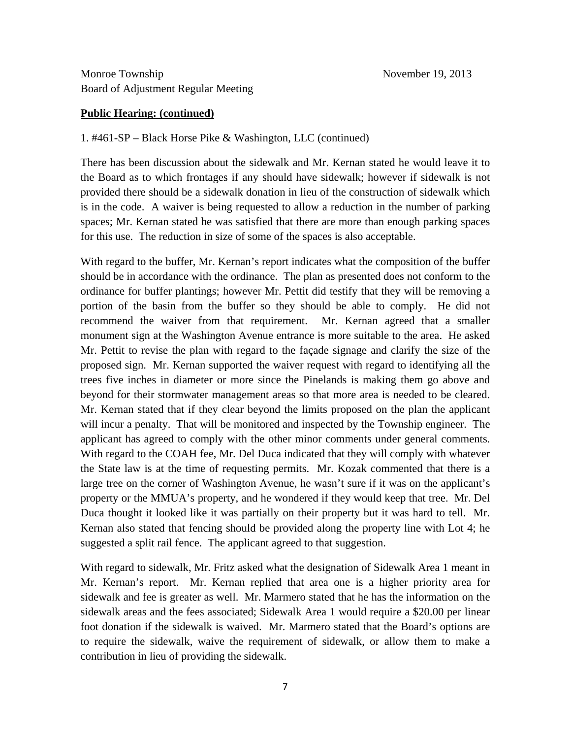#### **Public Hearing: (continued)**

### 1. #461-SP – Black Horse Pike & Washington, LLC (continued)

There has been discussion about the sidewalk and Mr. Kernan stated he would leave it to the Board as to which frontages if any should have sidewalk; however if sidewalk is not provided there should be a sidewalk donation in lieu of the construction of sidewalk which is in the code. A waiver is being requested to allow a reduction in the number of parking spaces; Mr. Kernan stated he was satisfied that there are more than enough parking spaces for this use. The reduction in size of some of the spaces is also acceptable.

With regard to the buffer, Mr. Kernan's report indicates what the composition of the buffer should be in accordance with the ordinance. The plan as presented does not conform to the ordinance for buffer plantings; however Mr. Pettit did testify that they will be removing a portion of the basin from the buffer so they should be able to comply. He did not recommend the waiver from that requirement. Mr. Kernan agreed that a smaller monument sign at the Washington Avenue entrance is more suitable to the area. He asked Mr. Pettit to revise the plan with regard to the façade signage and clarify the size of the proposed sign. Mr. Kernan supported the waiver request with regard to identifying all the trees five inches in diameter or more since the Pinelands is making them go above and beyond for their stormwater management areas so that more area is needed to be cleared. Mr. Kernan stated that if they clear beyond the limits proposed on the plan the applicant will incur a penalty. That will be monitored and inspected by the Township engineer. The applicant has agreed to comply with the other minor comments under general comments. With regard to the COAH fee, Mr. Del Duca indicated that they will comply with whatever the State law is at the time of requesting permits. Mr. Kozak commented that there is a large tree on the corner of Washington Avenue, he wasn't sure if it was on the applicant's property or the MMUA's property, and he wondered if they would keep that tree. Mr. Del Duca thought it looked like it was partially on their property but it was hard to tell. Mr. Kernan also stated that fencing should be provided along the property line with Lot 4; he suggested a split rail fence. The applicant agreed to that suggestion.

With regard to sidewalk, Mr. Fritz asked what the designation of Sidewalk Area 1 meant in Mr. Kernan's report. Mr. Kernan replied that area one is a higher priority area for sidewalk and fee is greater as well. Mr. Marmero stated that he has the information on the sidewalk areas and the fees associated; Sidewalk Area 1 would require a \$20.00 per linear foot donation if the sidewalk is waived. Mr. Marmero stated that the Board's options are to require the sidewalk, waive the requirement of sidewalk, or allow them to make a contribution in lieu of providing the sidewalk.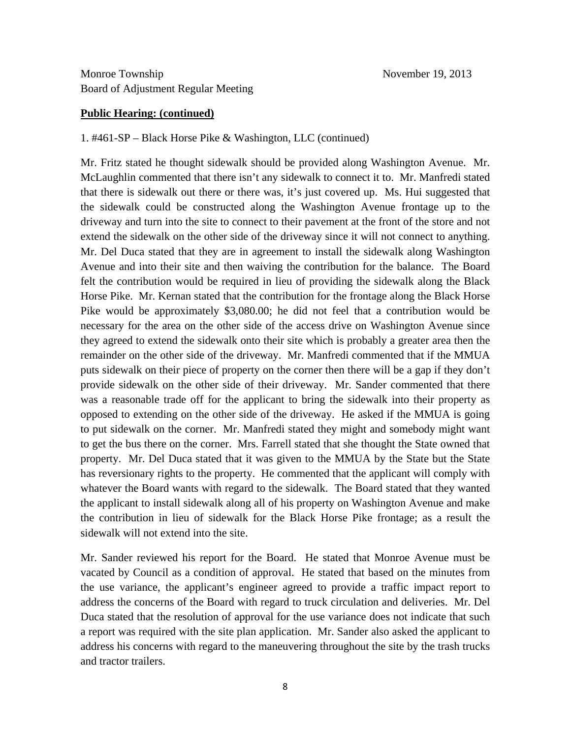#### **Public Hearing: (continued)**

#### 1. #461-SP – Black Horse Pike & Washington, LLC (continued)

Mr. Fritz stated he thought sidewalk should be provided along Washington Avenue. Mr. McLaughlin commented that there isn't any sidewalk to connect it to. Mr. Manfredi stated that there is sidewalk out there or there was, it's just covered up. Ms. Hui suggested that the sidewalk could be constructed along the Washington Avenue frontage up to the driveway and turn into the site to connect to their pavement at the front of the store and not extend the sidewalk on the other side of the driveway since it will not connect to anything. Mr. Del Duca stated that they are in agreement to install the sidewalk along Washington Avenue and into their site and then waiving the contribution for the balance. The Board felt the contribution would be required in lieu of providing the sidewalk along the Black Horse Pike. Mr. Kernan stated that the contribution for the frontage along the Black Horse Pike would be approximately \$3,080.00; he did not feel that a contribution would be necessary for the area on the other side of the access drive on Washington Avenue since they agreed to extend the sidewalk onto their site which is probably a greater area then the remainder on the other side of the driveway. Mr. Manfredi commented that if the MMUA puts sidewalk on their piece of property on the corner then there will be a gap if they don't provide sidewalk on the other side of their driveway. Mr. Sander commented that there was a reasonable trade off for the applicant to bring the sidewalk into their property as opposed to extending on the other side of the driveway. He asked if the MMUA is going to put sidewalk on the corner. Mr. Manfredi stated they might and somebody might want to get the bus there on the corner. Mrs. Farrell stated that she thought the State owned that property. Mr. Del Duca stated that it was given to the MMUA by the State but the State has reversionary rights to the property. He commented that the applicant will comply with whatever the Board wants with regard to the sidewalk. The Board stated that they wanted the applicant to install sidewalk along all of his property on Washington Avenue and make the contribution in lieu of sidewalk for the Black Horse Pike frontage; as a result the sidewalk will not extend into the site.

Mr. Sander reviewed his report for the Board. He stated that Monroe Avenue must be vacated by Council as a condition of approval. He stated that based on the minutes from the use variance, the applicant's engineer agreed to provide a traffic impact report to address the concerns of the Board with regard to truck circulation and deliveries. Mr. Del Duca stated that the resolution of approval for the use variance does not indicate that such a report was required with the site plan application. Mr. Sander also asked the applicant to address his concerns with regard to the maneuvering throughout the site by the trash trucks and tractor trailers.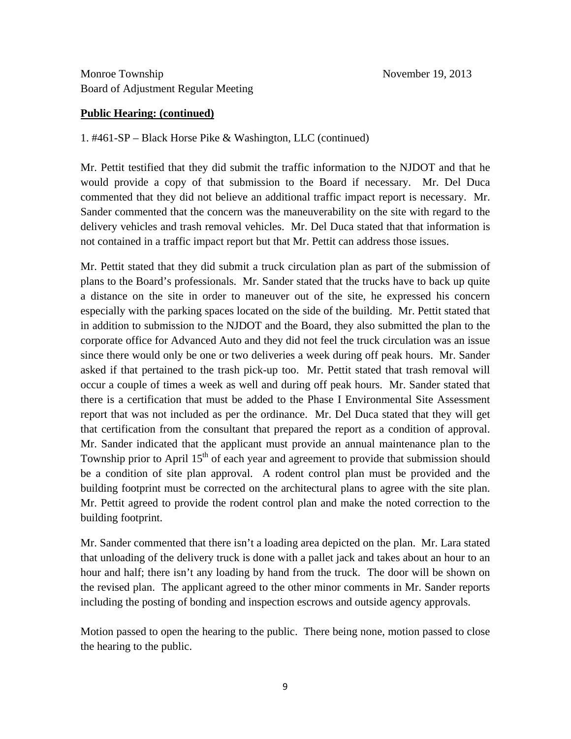#### **Public Hearing: (continued)**

1. #461-SP – Black Horse Pike & Washington, LLC (continued)

Mr. Pettit testified that they did submit the traffic information to the NJDOT and that he would provide a copy of that submission to the Board if necessary. Mr. Del Duca commented that they did not believe an additional traffic impact report is necessary. Mr. Sander commented that the concern was the maneuverability on the site with regard to the delivery vehicles and trash removal vehicles. Mr. Del Duca stated that that information is not contained in a traffic impact report but that Mr. Pettit can address those issues.

Mr. Pettit stated that they did submit a truck circulation plan as part of the submission of plans to the Board's professionals. Mr. Sander stated that the trucks have to back up quite a distance on the site in order to maneuver out of the site, he expressed his concern especially with the parking spaces located on the side of the building. Mr. Pettit stated that in addition to submission to the NJDOT and the Board, they also submitted the plan to the corporate office for Advanced Auto and they did not feel the truck circulation was an issue since there would only be one or two deliveries a week during off peak hours. Mr. Sander asked if that pertained to the trash pick-up too. Mr. Pettit stated that trash removal will occur a couple of times a week as well and during off peak hours. Mr. Sander stated that there is a certification that must be added to the Phase I Environmental Site Assessment report that was not included as per the ordinance. Mr. Del Duca stated that they will get that certification from the consultant that prepared the report as a condition of approval. Mr. Sander indicated that the applicant must provide an annual maintenance plan to the Township prior to April  $15<sup>th</sup>$  of each year and agreement to provide that submission should be a condition of site plan approval. A rodent control plan must be provided and the building footprint must be corrected on the architectural plans to agree with the site plan. Mr. Pettit agreed to provide the rodent control plan and make the noted correction to the building footprint.

Mr. Sander commented that there isn't a loading area depicted on the plan. Mr. Lara stated that unloading of the delivery truck is done with a pallet jack and takes about an hour to an hour and half; there isn't any loading by hand from the truck. The door will be shown on the revised plan. The applicant agreed to the other minor comments in Mr. Sander reports including the posting of bonding and inspection escrows and outside agency approvals.

Motion passed to open the hearing to the public. There being none, motion passed to close the hearing to the public.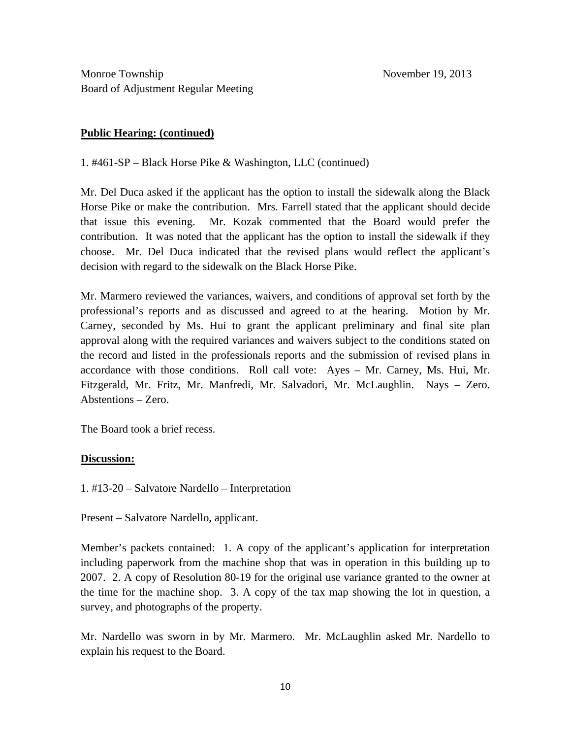### **Public Hearing: (continued)**

1. #461-SP – Black Horse Pike & Washington, LLC (continued)

Mr. Del Duca asked if the applicant has the option to install the sidewalk along the Black Horse Pike or make the contribution. Mrs. Farrell stated that the applicant should decide that issue this evening. Mr. Kozak commented that the Board would prefer the contribution. It was noted that the applicant has the option to install the sidewalk if they choose. Mr. Del Duca indicated that the revised plans would reflect the applicant's decision with regard to the sidewalk on the Black Horse Pike.

Mr. Marmero reviewed the variances, waivers, and conditions of approval set forth by the professional's reports and as discussed and agreed to at the hearing. Motion by Mr. Carney, seconded by Ms. Hui to grant the applicant preliminary and final site plan approval along with the required variances and waivers subject to the conditions stated on the record and listed in the professionals reports and the submission of revised plans in accordance with those conditions. Roll call vote: Ayes – Mr. Carney, Ms. Hui, Mr. Fitzgerald, Mr. Fritz, Mr. Manfredi, Mr. Salvadori, Mr. McLaughlin. Nays – Zero. Abstentions – Zero.

The Board took a brief recess.

### **Discussion:**

1. #13-20 – Salvatore Nardello – Interpretation

Present – Salvatore Nardello, applicant.

Member's packets contained: 1. A copy of the applicant's application for interpretation including paperwork from the machine shop that was in operation in this building up to 2007. 2. A copy of Resolution 80-19 for the original use variance granted to the owner at the time for the machine shop. 3. A copy of the tax map showing the lot in question, a survey, and photographs of the property.

Mr. Nardello was sworn in by Mr. Marmero. Mr. McLaughlin asked Mr. Nardello to explain his request to the Board.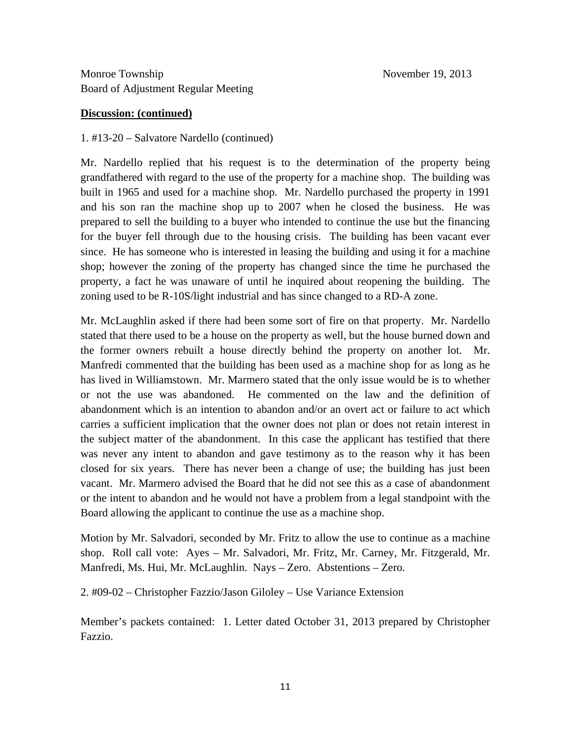## **Discussion: (continued)**

## 1. #13-20 – Salvatore Nardello (continued)

Mr. Nardello replied that his request is to the determination of the property being grandfathered with regard to the use of the property for a machine shop. The building was built in 1965 and used for a machine shop. Mr. Nardello purchased the property in 1991 and his son ran the machine shop up to 2007 when he closed the business. He was prepared to sell the building to a buyer who intended to continue the use but the financing for the buyer fell through due to the housing crisis. The building has been vacant ever since. He has someone who is interested in leasing the building and using it for a machine shop; however the zoning of the property has changed since the time he purchased the property, a fact he was unaware of until he inquired about reopening the building. The zoning used to be R-10S/light industrial and has since changed to a RD-A zone.

Mr. McLaughlin asked if there had been some sort of fire on that property. Mr. Nardello stated that there used to be a house on the property as well, but the house burned down and the former owners rebuilt a house directly behind the property on another lot. Mr. Manfredi commented that the building has been used as a machine shop for as long as he has lived in Williamstown. Mr. Marmero stated that the only issue would be is to whether or not the use was abandoned. He commented on the law and the definition of abandonment which is an intention to abandon and/or an overt act or failure to act which carries a sufficient implication that the owner does not plan or does not retain interest in the subject matter of the abandonment. In this case the applicant has testified that there was never any intent to abandon and gave testimony as to the reason why it has been closed for six years. There has never been a change of use; the building has just been vacant. Mr. Marmero advised the Board that he did not see this as a case of abandonment or the intent to abandon and he would not have a problem from a legal standpoint with the Board allowing the applicant to continue the use as a machine shop.

Motion by Mr. Salvadori, seconded by Mr. Fritz to allow the use to continue as a machine shop. Roll call vote: Ayes – Mr. Salvadori, Mr. Fritz, Mr. Carney, Mr. Fitzgerald, Mr. Manfredi, Ms. Hui, Mr. McLaughlin. Nays – Zero. Abstentions – Zero.

2. #09-02 – Christopher Fazzio/Jason Giloley – Use Variance Extension

Member's packets contained: 1. Letter dated October 31, 2013 prepared by Christopher Fazzio.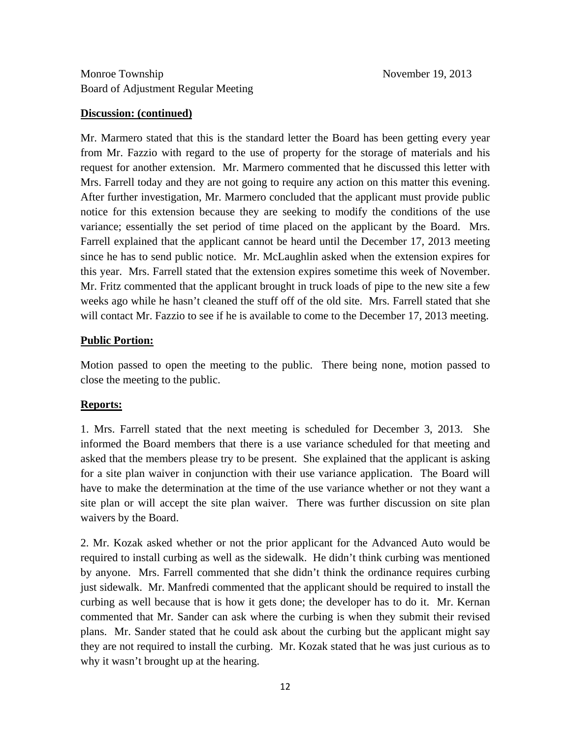### **Discussion: (continued)**

Mr. Marmero stated that this is the standard letter the Board has been getting every year from Mr. Fazzio with regard to the use of property for the storage of materials and his request for another extension. Mr. Marmero commented that he discussed this letter with Mrs. Farrell today and they are not going to require any action on this matter this evening. After further investigation, Mr. Marmero concluded that the applicant must provide public notice for this extension because they are seeking to modify the conditions of the use variance; essentially the set period of time placed on the applicant by the Board. Mrs. Farrell explained that the applicant cannot be heard until the December 17, 2013 meeting since he has to send public notice. Mr. McLaughlin asked when the extension expires for this year. Mrs. Farrell stated that the extension expires sometime this week of November. Mr. Fritz commented that the applicant brought in truck loads of pipe to the new site a few weeks ago while he hasn't cleaned the stuff off of the old site. Mrs. Farrell stated that she will contact Mr. Fazzio to see if he is available to come to the December 17, 2013 meeting.

### **Public Portion:**

Motion passed to open the meeting to the public. There being none, motion passed to close the meeting to the public.

### **Reports:**

1. Mrs. Farrell stated that the next meeting is scheduled for December 3, 2013. She informed the Board members that there is a use variance scheduled for that meeting and asked that the members please try to be present. She explained that the applicant is asking for a site plan waiver in conjunction with their use variance application. The Board will have to make the determination at the time of the use variance whether or not they want a site plan or will accept the site plan waiver. There was further discussion on site plan waivers by the Board.

2. Mr. Kozak asked whether or not the prior applicant for the Advanced Auto would be required to install curbing as well as the sidewalk. He didn't think curbing was mentioned by anyone. Mrs. Farrell commented that she didn't think the ordinance requires curbing just sidewalk. Mr. Manfredi commented that the applicant should be required to install the curbing as well because that is how it gets done; the developer has to do it. Mr. Kernan commented that Mr. Sander can ask where the curbing is when they submit their revised plans. Mr. Sander stated that he could ask about the curbing but the applicant might say they are not required to install the curbing. Mr. Kozak stated that he was just curious as to why it wasn't brought up at the hearing.